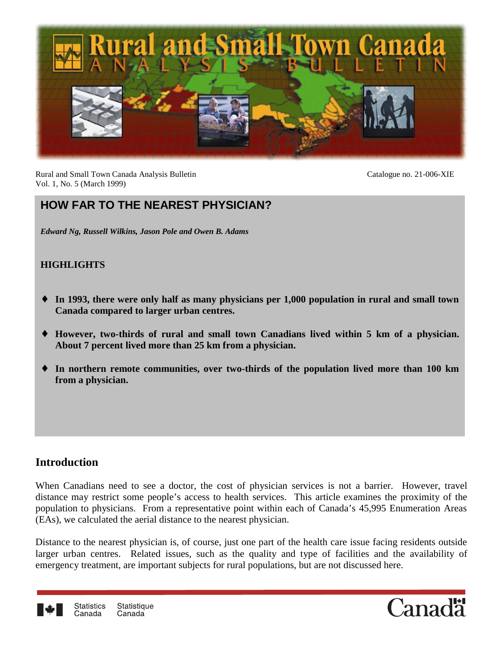

Rural and Small Town Canada Analysis Bulletin Catalogue no. 21-006-XIE Vol. 1, No. 5 (March 1999)

# **HOW FAR TO THE NEAREST PHYSICIAN?**

*Edward Ng, Russell Wilkins, Jason Pole and Owen B. Adams*

#### **HIGHLIGHTS**

- ♦ **In 1993, there were only half as many physicians per 1,000 population in rural and small town Canada compared to larger urban centres.**
- ♦ **However, two-thirds of rural and small town Canadians lived within 5 km of a physician. About 7 percent lived more than 25 km from a physician.**
- ♦ **In northern remote communities, over two-thirds of the population lived more than 100 km from a physician.**

## **Introduction**

When Canadians need to see a doctor, the cost of physician services is not a barrier. However, travel distance may restrict some people's access to health services. This article examines the proximity of the population to physicians. From a representative point within each of Canada's 45,995 Enumeration Areas (EAs), we calculated the aerial distance to the nearest physician.

Distance to the nearest physician is, of course, just one part of the health care issue facing residents outside larger urban centres. Related issues, such as the quality and type of facilities and the availability of emergency treatment, are important subjects for rural populations, but are not discussed here.



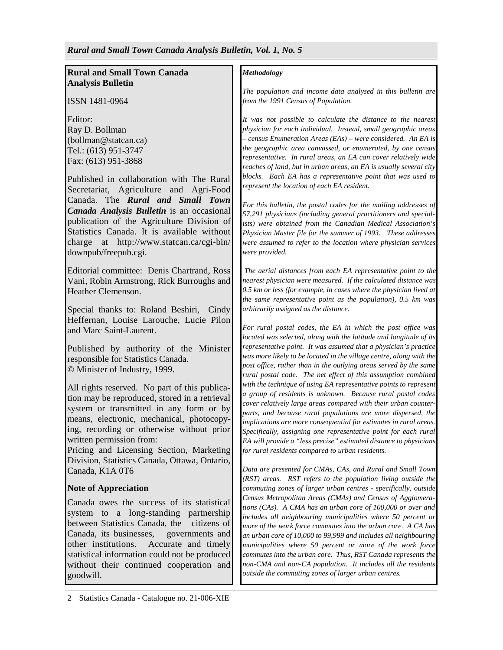#### **Rural and Small Town Canada Analysis Bulletin**

ISSN 1481-0964

Editor: Ray D. Bollman (bollman@statcan.ca) Tel.: (613) 951-3747 Fax: (613) 951-3868

Published in collaboration with The Rural Secretariat, Agriculture and Agri-Food Canada. The *Rural and Small Town Canada Analysis Bulletin* is an occasional publication of the Agriculture Division of Statistics Canada. It is available without charge at http://www.statcan.ca/cgi-bin/ downpub/freepub.cgi.

Editorial committee: Denis Chartrand, Ross Vani, Robin Armstrong, Rick Burroughs and Heather Clemenson.

Special thanks to: Roland Beshiri, Cindy Heffernan, Louise Larouche, Lucie Pilon and Marc Saint-Laurent.

Published by authority of the Minister responsible for Statistics Canada. © Minister of Industry, 1999.

All rights reserved. No part of this publication may be reproduced, stored in a retrieval system or transmitted in any form or by means, electronic, mechanical, photocopying, recording or otherwise without prior written permission from:

Pricing and Licensing Section, Marketing Division, Statistics Canada, Ottawa, Ontario, Canada, K1A 0T6

#### **Note of Appreciation**

Canada owes the success of its statistical system to a long-standing partnership between Statistics Canada, the citizens of Canada, its businesses, governments and other institutions. Accurate and timely statistical information could not be produced without their continued cooperation and goodwill.

*The population and income data analysed in this bulletin are from the 1991 Census of Population.*

*It was not possible to calculate the distance to the nearest physician for each individual. Instead, small geographic areas – census Enumeration Areas (EAs) – were considered. An EA is the geographic area canvassed, or enumerated, by one census representative. In rural areas, an EA can cover relatively wide reaches of land, but in urban areas, an EA is usually several city blocks. Each EA has a representative point that was used to represent the location of each EA resident.*

*For this bulletin, the postal codes for the mailing addresses of 57,291 physicians (including general practitioners and specialists) were obtained from the Canadian Medical Association's Physician Master file for the summer of 1993. These addresses were assumed to refer to the location where physician services were provided.*

 *The aerial distances from each EA representative point to the nearest physician were measured. If the calculated distance was 0.5 km or less (for example, in cases where the physician lived at the same representative point as the population), 0.5 km was arbitrarily assigned as the distance.*

*For rural postal codes, the EA in which the post office was located was selected, along with the latitude and longitude of its representative point. It was assumed that a physician's practice was more likely to be located in the village centre, along with the post office, rather than in the outlying areas served by the same rural postal code. The net effect of this assumption combined with the technique of using EA representative points to represent a group of residents is unknown. Because rural postal codes cover relatively large areas compared with their urban counterparts, and because rural populations are more dispersed, the implications are more consequential for estimates in rural areas. Specifically, assigning one representative point for each rural EA will provide a "less precise" estimated distance to physicians for rural residents compared to urban residents.*

*Data are presented for CMAs, CAs, and Rural and Small Town (RST) areas. RST refers to the population living outside the commuting zones of larger urban centres - specifically, outside Census Metropolitan Areas (CMAs) and Census of Agglomerations (CAs). A CMA has an urban core of 100,000 or over and includes all neighbouring municipalities where 50 percent or more of the work force commutes into the urban core. A CA has an urban core of 10,000 to 99,999 and includes all neighbouring municipalities where 50 percent or more of the work force commutes into the urban core. Thus, RST Canada represents the non-CMA and non-CA population. It includes all the residents outside the commuting zones of larger urban centres.*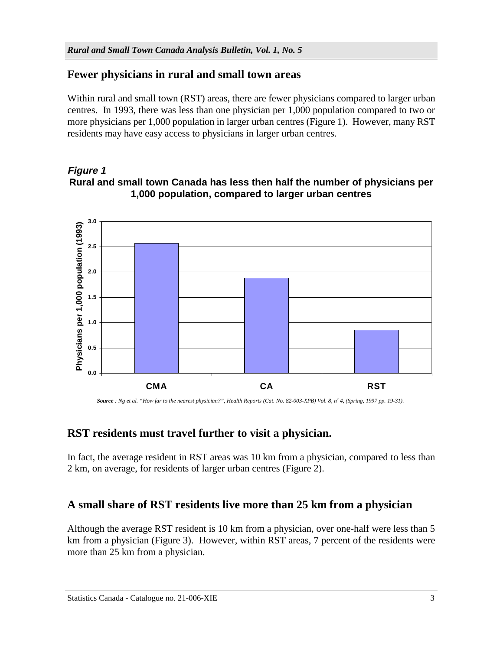## **Fewer physicians in rural and small town areas**

Within rural and small town (RST) areas, there are fewer physicians compared to larger urban centres. In 1993, there was less than one physician per 1,000 population compared to two or more physicians per 1,000 population in larger urban centres (Figure 1). However, many RST residents may have easy access to physicians in larger urban centres.

#### **Figure 1 Rural and small town Canada has less then half the number of physicians per 1,000 population, compared to larger urban centres**



Source : Ng et al. "How far to the nearest physician?", Health Reports (Cat. No. 82-003-XPB) Vol. 8, n<sup>o</sup> 4, (Spring, 1997 pp. 19-31).

## **RST residents must travel further to visit a physician.**

In fact, the average resident in RST areas was 10 km from a physician, compared to less than 2 km, on average, for residents of larger urban centres (Figure 2).

## **A small share of RST residents live more than 25 km from a physician**

Although the average RST resident is 10 km from a physician, over one-half were less than 5 km from a physician (Figure 3). However, within RST areas, 7 percent of the residents were more than 25 km from a physician.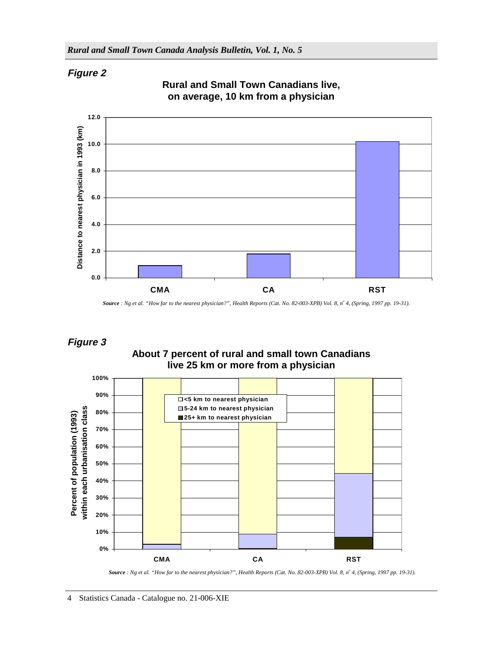### **Figure 2**



**Rural and Small Town Canadians live, on average, 10 km from a physician**

### **Figure 3**

**About 7 percent of rural and small town Canadians live 25 km or more from a physician**



*Source : Ng et al. "How far to the nearest physician?", Health Reports (Cat. No. 82-003-XPB) Vol. 8, no 4, (Spring, 1997 pp. 19-31).*

*Source : Ng et al. "How far to the nearest physician?", Health Reports (Cat. No. 82-003-XPB) Vol. 8, no 4, (Spring, 1997 pp. 19-31).*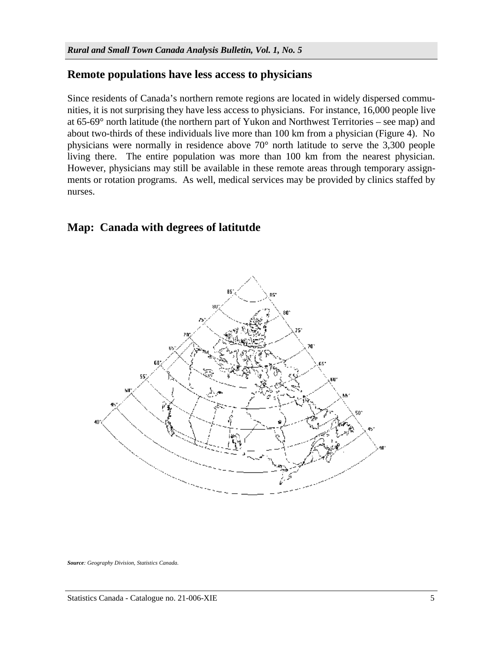### **Remote populations have less access to physicians**

Since residents of Canada's northern remote regions are located in widely dispersed communities, it is not surprising they have less access to physicians. For instance, 16,000 people live at 65-69° north latitude (the northern part of Yukon and Northwest Territories – see map) and about two-thirds of these individuals live more than 100 km from a physician (Figure 4). No physicians were normally in residence above 70° north latitude to serve the 3,300 people living there. The entire population was more than 100 km from the nearest physician. However, physicians may still be available in these remote areas through temporary assignments or rotation programs. As well, medical services may be provided by clinics staffed by nurses.

## **Map: Canada with degrees of latitutde**



*Source: Geography Division, Statistics Canada.*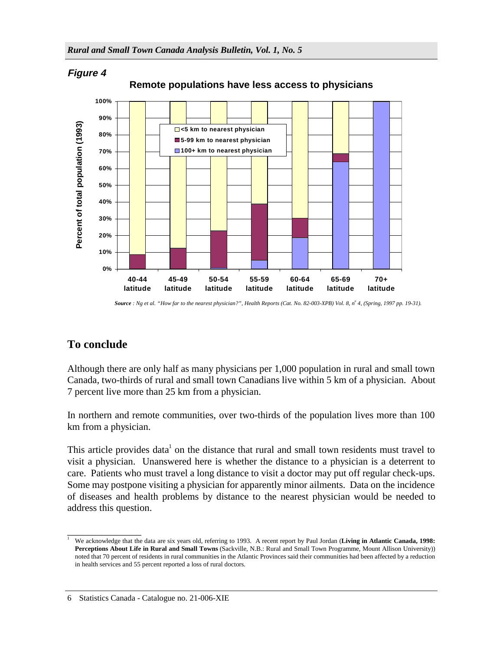

*Source : Ng et al. "How far to the nearest physician?", Health Reports (Cat. No. 82-003-XPB) Vol. 8, no 4, (Spring, 1997 pp. 19-31).*

# **To conclude**

Although there are only half as many physicians per 1,000 population in rural and small town Canada, two-thirds of rural and small town Canadians live within 5 km of a physician. About 7 percent live more than 25 km from a physician.

In northern and remote communities, over two-thirds of the population lives more than 100 km from a physician.

This article provides data<sup>1</sup> on the distance that rural and small town residents must travel to visit a physician. Unanswered here is whether the distance to a physician is a deterrent to care. Patients who must travel a long distance to visit a doctor may put off regular check-ups. Some may postpone visiting a physician for apparently minor ailments. Data on the incidence of diseases and health problems by distance to the nearest physician would be needed to address this question.

\_\_\_\_\_\_\_\_\_\_\_\_\_\_\_ <sup>1</sup> We acknowledge that the data are six years old, referring to 1993. A recent report by Paul Jordan (**Living in Atlantic Canada, 1998: Perceptions About Life in Rural and Small Towns** (Sackville, N.B.: Rural and Small Town Programme, Mount Allison University)) noted that 70 percent of residents in rural communities in the Atlantic Provinces said their communities had been affected by a reduction in health services and 55 percent reported a loss of rural doctors.